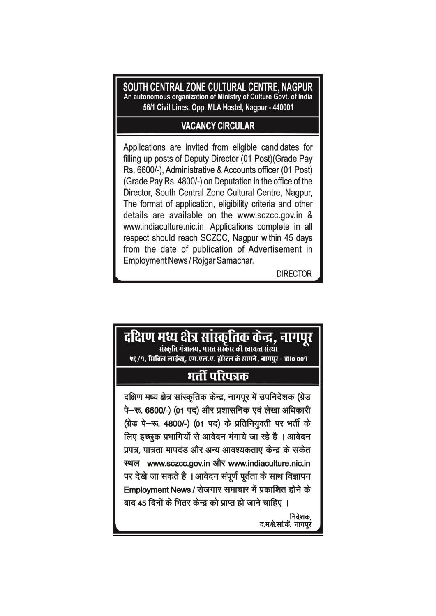SOUTH CENTRAL ZONE CULTURAL CENTRE, NAGPUR An autonomous organization of Ministry of Culture Govt. of India 56/1 Civil Lines, Opp. MLA Hostel, Nagpur - 440001

### **VACANCY CIRCULAR**

Applications are invited from eligible candidates for filling up posts of Deputy Director (01 Post) (Grade Pay Rs. 6600/-), Administrative & Accounts officer (01 Post) (Grade Pay Rs. 4800/-) on Deputation in the office of the Director, South Central Zone Cultural Centre, Nagpur, The format of application, eligibility criteria and other details are available on the www.sczcc.gov.in & www.indiaculture.nic.in. Applications complete in all respect should reach SCZCC, Nagpur within 45 days from the date of publication of Advertisement in Employment News / Rojgar Samachar.

**DIRECTOR** 

# दक्षिण मध्य क्षेत्र सांस्कृतिक केन्द्र, नागपूर संस्कृति मंत्रालय. भारत सरकार की स्वायत्त संस्था ५६/९, सिबिल लाईन्स, एम.एल.ए. हॉस्टल के सामने, नागपर - ४४० ००९ भर्ती परिपत्रक दक्षिण मध्य क्षेत्र सांस्कृतिक केन्द्र, नागपुर में उपनिदेशक (ग्रेड पे-रू. 6600/-) (01 पद) और प्रशासनिक एवं लेखा अधिकारी (ग्रेड पे-रू. 4800/-) (01 पद) के प्रतिनियुक्ती पर भर्ती के लिए इच्छुक प्रभागियों से आवेदन मंगाये जा रहे है । आवेदन प्रपत्र, पात्रता मापदंड और अन्य आवश्यकताए केन्द्र के संकेत स्थल www.sczcc.gov.in और www.indiaculture.nic.in पर देखे जा सकते है । आवेदन संपूर्ण पूर्तता के साथ विज्ञापन Employment News / रोजगार समाचार में प्रकाशित होने के बाद 45 दिनों के भितर केन्द्र को प्राप्त हो जाने चाहिए । निदेशक, द.म.क्षे.सा.कें. नागपूर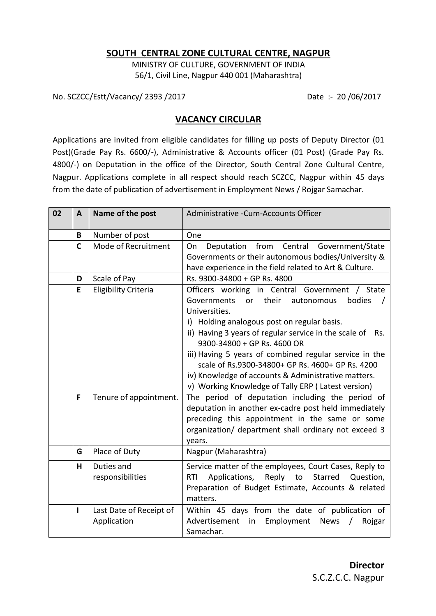#### **SOUTH CENTRAL ZONE CULTURAL CENTRE, NAGPUR**

MINISTRY OF CULTURE, GOVERNMENT OF INDIA 56/1, Civil Line, Nagpur 440 001 (Maharashtra)

No. SCZCC/Estt/Vacancy/ 2393 /2017 Date :- 20 /06/2017

#### **VACANCY CIRCULAR**

Applications are invited from eligible candidates for filling up posts of Deputy Director (01 Post)(Grade Pay Rs. 6600/-), Administrative & Accounts officer (01 Post) (Grade Pay Rs. 4800/-) on Deputation in the office of the Director, South Central Zone Cultural Centre, Nagpur. Applications complete in all respect should reach SCZCC, Nagpur within 45 days from the date of publication of advertisement in Employment News / Rojgar Samachar.

| 02 | $\mathbf{A}$ | Name of the post                       | Administrative - Cum-Accounts Officer                                                                                                                                                                                                                                                                                                                                                                                                       |  |  |
|----|--------------|----------------------------------------|---------------------------------------------------------------------------------------------------------------------------------------------------------------------------------------------------------------------------------------------------------------------------------------------------------------------------------------------------------------------------------------------------------------------------------------------|--|--|
|    | B            | Number of post                         | One                                                                                                                                                                                                                                                                                                                                                                                                                                         |  |  |
|    | $\mathsf{C}$ | Mode of Recruitment                    | Deputation from Central Government/State<br>On                                                                                                                                                                                                                                                                                                                                                                                              |  |  |
|    |              |                                        | Governments or their autonomous bodies/University &                                                                                                                                                                                                                                                                                                                                                                                         |  |  |
|    |              |                                        | have experience in the field related to Art & Culture.                                                                                                                                                                                                                                                                                                                                                                                      |  |  |
|    | D            | Scale of Pay                           | Rs. 9300-34800 + GP Rs. 4800                                                                                                                                                                                                                                                                                                                                                                                                                |  |  |
|    | E            | <b>Eligibility Criteria</b>            | Officers working in Central Government /<br>State<br>Governments<br>or<br>their<br>autonomous<br>bodies<br>Universities.<br>i) Holding analogous post on regular basis.<br>ii) Having 3 years of regular service in the scale of<br>Rs.<br>9300-34800 + GP Rs. 4600 OR<br>iii) Having 5 years of combined regular service in the<br>scale of Rs.9300-34800+ GP Rs. 4600+ GP Rs. 4200<br>iv) Knowledge of accounts & Administrative matters. |  |  |
|    |              |                                        | v) Working Knowledge of Tally ERP (Latest version)                                                                                                                                                                                                                                                                                                                                                                                          |  |  |
|    | F            | Tenure of appointment.                 | The period of deputation including the period of<br>deputation in another ex-cadre post held immediately<br>preceding this appointment in the same or some<br>organization/ department shall ordinary not exceed 3<br>years.                                                                                                                                                                                                                |  |  |
|    | G            | Place of Duty                          | Nagpur (Maharashtra)                                                                                                                                                                                                                                                                                                                                                                                                                        |  |  |
|    | H            | Duties and<br>responsibilities         | Service matter of the employees, Court Cases, Reply to<br>Applications,<br>Reply to Starred<br><b>RTI</b><br>Question,<br>Preparation of Budget Estimate, Accounts & related<br>matters.                                                                                                                                                                                                                                                    |  |  |
|    | 1            | Last Date of Receipt of<br>Application | Within 45 days from the date of publication of<br>Employment<br>Advertisement in<br>News<br>Rojgar<br>$\sqrt{2}$<br>Samachar.                                                                                                                                                                                                                                                                                                               |  |  |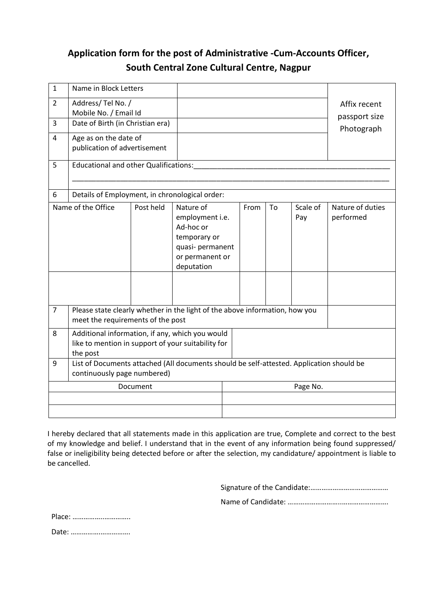## **Application form for the post of Administrative -Cum-Accounts Officer, South Central Zone Cultural Centre, Nagpur**

| $\mathbf{1}$   | Name in Block Letters                                                                                                   |                                                                                                                |                               |          |  |                               |                               |  |
|----------------|-------------------------------------------------------------------------------------------------------------------------|----------------------------------------------------------------------------------------------------------------|-------------------------------|----------|--|-------------------------------|-------------------------------|--|
| 2              | Address/Tel No. /<br>Mobile No. / Email Id                                                                              |                                                                                                                |                               |          |  |                               | Affix recent<br>passport size |  |
| 3              | Date of Birth (in Christian era)                                                                                        |                                                                                                                |                               |          |  |                               | Photograph                    |  |
| $\overline{4}$ | Age as on the date of<br>publication of advertisement                                                                   |                                                                                                                |                               |          |  |                               |                               |  |
| 5              | Educational and other Qualifications:                                                                                   |                                                                                                                |                               |          |  |                               |                               |  |
| 6              | Details of Employment, in chronological order:                                                                          |                                                                                                                |                               |          |  |                               |                               |  |
|                | Name of the Office                                                                                                      | Nature of<br>employment i.e.<br>Ad-hoc or<br>temporary or<br>quasi- permanent<br>or permanent or<br>deputation | Scale of<br>From<br>To<br>Pay |          |  | Nature of duties<br>performed |                               |  |
| $\overline{7}$ | Please state clearly whether in the light of the above information, how you<br>meet the requirements of the post        |                                                                                                                |                               |          |  |                               |                               |  |
| 8              | Additional information, if any, which you would<br>like to mention in support of your suitability for<br>the post       |                                                                                                                |                               |          |  |                               |                               |  |
| 9              | List of Documents attached (All documents should be self-attested. Application should be<br>continuously page numbered) |                                                                                                                |                               |          |  |                               |                               |  |
|                |                                                                                                                         | Document                                                                                                       |                               | Page No. |  |                               |                               |  |
|                |                                                                                                                         |                                                                                                                |                               |          |  |                               |                               |  |
|                |                                                                                                                         |                                                                                                                |                               |          |  |                               |                               |  |

I hereby declared that all statements made in this application are true, Complete and correct to the best of my knowledge and belief. I understand that in the event of any information being found suppressed/ false or ineligibility being detected before or after the selection, my candidature/ appointment is liable to be cancelled.

Signature of the Candidate:……………………………………

Name of Candidate: ………………………..…………………….

Place: ……………..…………..

Date: …………….…………….